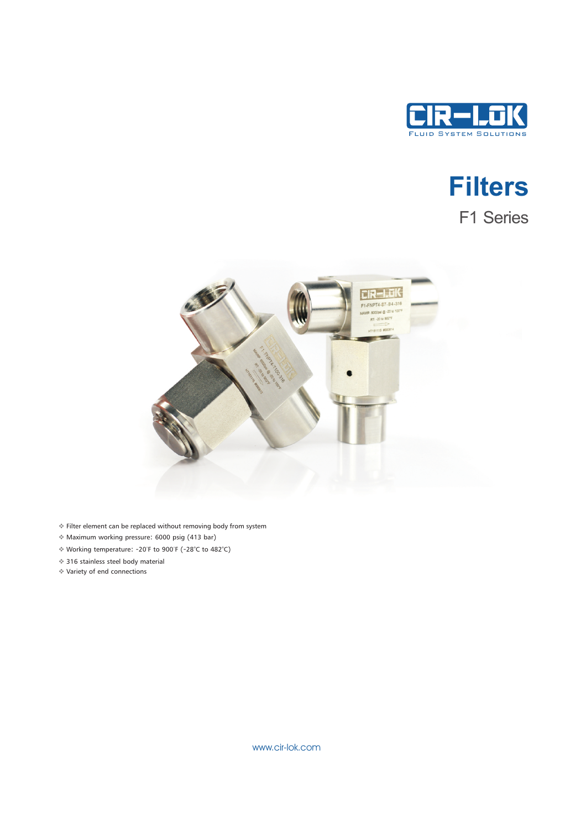

# **Filters** F1 Series



- v Filter element can be replaced without removing body from system
- v Maximum working pressure: 6000 psig (413 bar)
- ◆ Working temperature: -20°F to 900°F (-28°C to 482°C)
- ◆ 316 stainless steel body material
- v Variety of end connections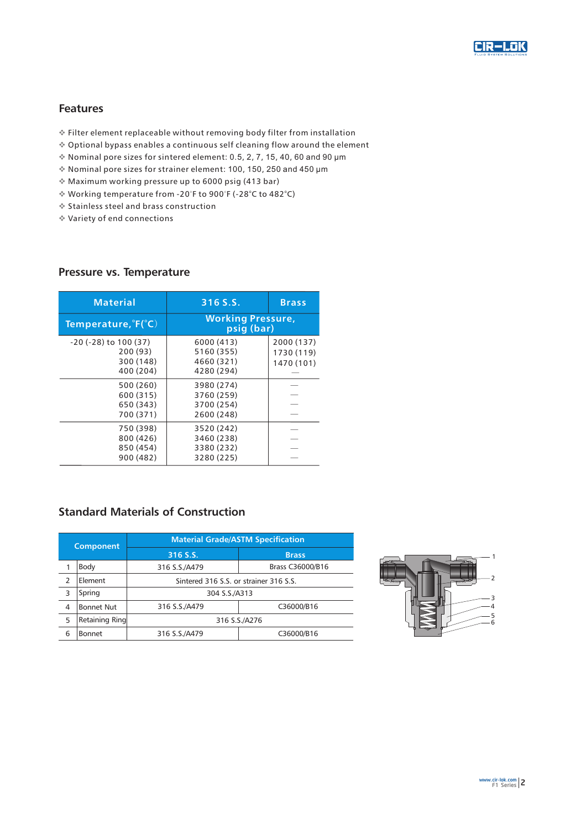

#### Features

- v Filter element replaceable without removing body filter from installation
- v Optional bypass enables a continuous self cleaning flow around the element
- $*$  Nominal pore sizes for sintered element: 0.5, 2, 7, 15, 40, 60 and 90  $\mu$ m
- v Nominal pore sizes for strainer element: 100, 150, 250 and 450 μm
- v Maximum working pressure up to 6000 psig (413 bar)
- ◆ Working temperature from -20°F to 900°F (-28°C to 482°C)
- v Stainless steel and brass construction
- v Variety of end connections

#### Pressure vs. Temperature

| <b>Material</b>                                                  | 316 S.S.                                             | <b>Brass</b>                           |  |  |  |  |  |
|------------------------------------------------------------------|------------------------------------------------------|----------------------------------------|--|--|--|--|--|
| Temperature, $\mathsf{F}(\mathsf{C})$                            | <b>Working Pressure,</b><br>psig (bar)               |                                        |  |  |  |  |  |
| $-20$ ( $-28$ ) to 100 (37)<br>200(93)<br>300 (148)<br>400 (204) | 6000 (413)<br>5160 (355)<br>4660 (321)<br>4280 (294) | 2000 (137)<br>1730 (119)<br>1470 (101) |  |  |  |  |  |
| 500 (260)<br>600 (315)<br>650 (343)<br>700 (371)                 | 3980 (274)<br>3760 (259)<br>3700 (254)<br>2600 (248) |                                        |  |  |  |  |  |
| 750 (398)<br>800 (426)<br>850 (454)<br>900 (482)                 | 3520 (242)<br>3460 (238)<br>3380 (232)<br>3280 (225) |                                        |  |  |  |  |  |

## Standard Materials of Construction

| <b>Component</b> |                   | <b>Material Grade/ASTM Specification</b> |                  |  |  |  |  |  |  |  |
|------------------|-------------------|------------------------------------------|------------------|--|--|--|--|--|--|--|
|                  |                   | $316$ S.S.                               | <b>Brass</b>     |  |  |  |  |  |  |  |
|                  | Body              | 316 S.S./A479                            | Brass C36000/B16 |  |  |  |  |  |  |  |
| 2                | Element           | Sintered 316 S.S. or strainer 316 S.S.   |                  |  |  |  |  |  |  |  |
| 3                | Spring            | 304 S.S./A313                            |                  |  |  |  |  |  |  |  |
| 4                | <b>Bonnet Nut</b> | 316 S.S./A479                            | C36000/B16       |  |  |  |  |  |  |  |
| 5                | Retaining Ring    | 316 S.S./A276                            |                  |  |  |  |  |  |  |  |
| 6                | <b>Bonnet</b>     | 316 S.S./A479<br>C36000/B16              |                  |  |  |  |  |  |  |  |

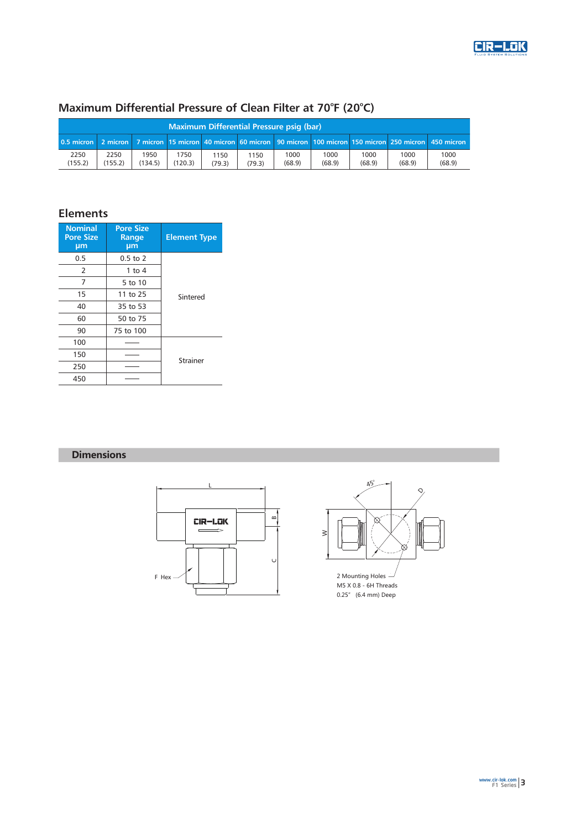

### Maximum Differential Pressure of Clean Filter at 70°F (20°C)

| Maximum Differential Pressure psig (bar)                                                                         |                 |                 |                 |                |                |                |                |                |                |                |  |
|------------------------------------------------------------------------------------------------------------------|-----------------|-----------------|-----------------|----------------|----------------|----------------|----------------|----------------|----------------|----------------|--|
| 0.5 micron 2 micron 2 micron 15 micron 40 micron 60 micron 90 micron 100 micron 150 micron 250 micron 450 micron |                 |                 |                 |                |                |                |                |                |                |                |  |
| 2250<br>(155.2)                                                                                                  | 2250<br>(155.2) | 1950<br>(134.5) | 1750<br>(120.3) | 1150<br>(79.3) | 1150<br>(79.3) | 1000<br>(68.9) | 1000<br>(68.9) | 1000<br>(68.9) | 1000<br>(68.9) | 1000<br>(68.9) |  |

# Elements

| <b>Nominal</b><br><b>Pore Size</b><br>µm | <b>Pore Size</b><br>Range<br>µm | <b>Element Type</b> |  |  |  |  |
|------------------------------------------|---------------------------------|---------------------|--|--|--|--|
| 0.5                                      | $0.5$ to $2$                    |                     |  |  |  |  |
| 2                                        | 1 to $4$                        |                     |  |  |  |  |
| 7                                        | 5 to 10                         |                     |  |  |  |  |
| 15                                       | 11 to 25                        | Sintered            |  |  |  |  |
| 40<br>35 to 53<br>60<br>50 to 75         |                                 |                     |  |  |  |  |
|                                          |                                 |                     |  |  |  |  |
| 90                                       | 75 to 100                       |                     |  |  |  |  |
| 100                                      |                                 |                     |  |  |  |  |
| 150                                      |                                 | Strainer            |  |  |  |  |
| 250                                      |                                 |                     |  |  |  |  |
| 450                                      |                                 |                     |  |  |  |  |

#### **Dimensions**